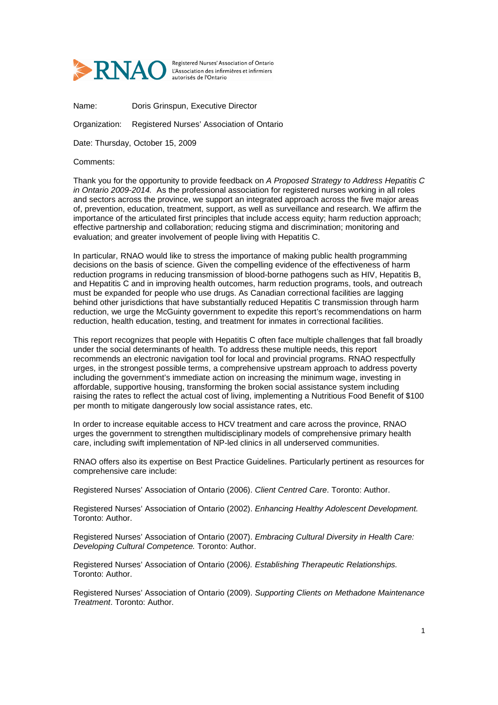

Registered Nurses' Association of Ontario L'Association des infirmières et infirmiers autorisés de l'Ontario

Name: Doris Grinspun, Executive Director

Organization: Registered Nurses' Association of Ontario

Date: Thursday, October 15, 2009

Comments:

Thank you for the opportunity to provide feedback on A Proposed Strategy to Address Hepatitis C in Ontario 2009-2014. As the professional association for registered nurses working in all roles and sectors across the province, we support an integrated approach across the five major areas of, prevention, education, treatment, support, as well as surveillance and research. We affirm the importance of the articulated first principles that include access equity; harm reduction approach; effective partnership and collaboration; reducing stigma and discrimination; monitoring and evaluation; and greater involvement of people living with Hepatitis C.

In particular, RNAO would like to stress the importance of making public health programming decisions on the basis of science. Given the compelling evidence of the effectiveness of harm reduction programs in reducing transmission of blood-borne pathogens such as HIV, Hepatitis B, and Hepatitis C and in improving health outcomes, harm reduction programs, tools, and outreach must be expanded for people who use drugs. As Canadian correctional facilities are lagging behind other jurisdictions that have substantially reduced Hepatitis C transmission through harm reduction, we urge the McGuinty government to expedite this report's recommendations on harm reduction, health education, testing, and treatment for inmates in correctional facilities.

This report recognizes that people with Hepatitis C often face multiple challenges that fall broadly under the social determinants of health. To address these multiple needs, this report recommends an electronic navigation tool for local and provincial programs. RNAO respectfully urges, in the strongest possible terms, a comprehensive upstream approach to address poverty including the government's immediate action on increasing the minimum wage, investing in affordable, supportive housing, transforming the broken social assistance system including raising the rates to reflect the actual cost of living, implementing a Nutritious Food Benefit of \$100 per month to mitigate dangerously low social assistance rates, etc.

In order to increase equitable access to HCV treatment and care across the province, RNAO urges the government to strengthen multidisciplinary models of comprehensive primary health care, including swift implementation of NP-led clinics in all underserved communities.

RNAO offers also its expertise on Best Practice Guidelines. Particularly pertinent as resources for comprehensive care include:

Registered Nurses' Association of Ontario (2006). Client Centred Care. Toronto: Author.

Registered Nurses' Association of Ontario (2002). Enhancing Healthy Adolescent Development. Toronto: Author.

Registered Nurses' Association of Ontario (2007). Embracing Cultural Diversity in Health Care: Developing Cultural Competence. Toronto: Author.

Registered Nurses' Association of Ontario (2006). Establishing Therapeutic Relationships. Toronto: Author.

Registered Nurses' Association of Ontario (2009). Supporting Clients on Methadone Maintenance Treatment. Toronto: Author.